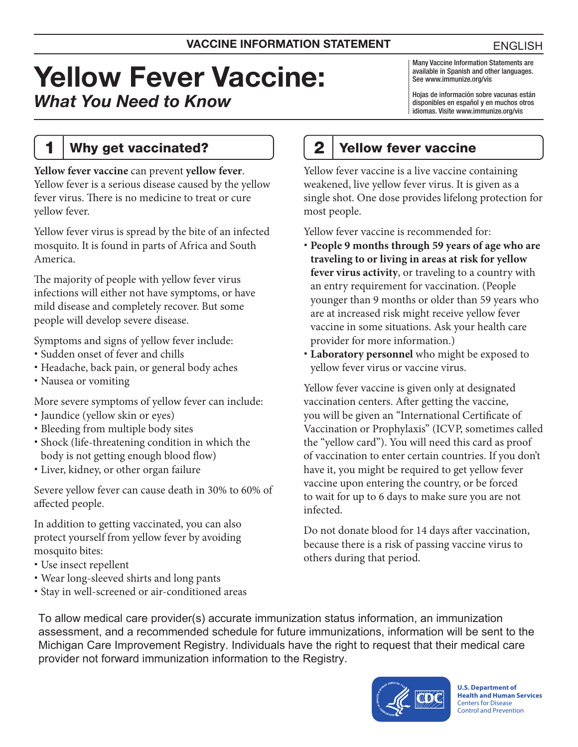# Yellow Fever Vaccine: *What You Need to Know*

Many Vaccine Information Statements are available in Spanish and other languages. See [www.immunize.org/vis](http://www.immunize.org/vis)

Hojas de información sobre vacunas están disponibles en español y en muchos otros idiomas. Visite [www.immunize.org/vis](http://www.immunize.org/vis)

#### 1 | Why get vaccinated?

**Yellow fever vaccine** can prevent **yellow fever**. Yellow fever is a serious disease caused by the yellow fever virus. There is no medicine to treat or cure yellow fever.

Yellow fever virus is spread by the bite of an infected mosquito. It is found in parts of Africa and South America.

The majority of people with yellow fever virus infections will either not have symptoms, or have mild disease and completely recover. But some people will develop severe disease.

Symptoms and signs of yellow fever include:

- Sudden onset of fever and chills
- Headache, back pain, or general body aches
- Nausea or vomiting

More severe symptoms of yellow fever can include:

- Jaundice (yellow skin or eyes)
- Bleeding from multiple body sites
- Shock (life-threatening condition in which the body is not getting enough blood flow)
- Liver, kidney, or other organ failure

Severe yellow fever can cause death in 30% to 60% of affected people.

In addition to getting vaccinated, you can also protect yourself from yellow fever by avoiding mosquito bites:

- Use insect repellent
- Wear long-sleeved shirts and long pants
- Stay in well-screened or air-conditioned areas

# 2 Yellow fever vaccine

Yellow fever vaccine is a live vaccine containing weakened, live yellow fever virus. It is given as a single shot. One dose provides lifelong protection for most people.

Yellow fever vaccine is recommended for:

- **People 9 months through 59 years of age who are traveling to or living in areas at risk for yellow fever virus activity**, or traveling to a country with an entry requirement for vaccination. (People younger than 9 months or older than 59 years who are at increased risk might receive yellow fever vaccine in some situations. Ask your health care provider for more information.)
- **Laboratory personnel** who might be exposed to yellow fever virus or vaccine virus.

Yellow fever vaccine is given only at designated vaccination centers. After getting the vaccine, you will be given an "International Certificate of Vaccination or Prophylaxis" (ICVP, sometimes called the "yellow card"). You will need this card as proof of vaccination to enter certain countries. If you don't have it, you might be required to get yellow fever vaccine upon entering the country, or be forced to wait for up to 6 days to make sure you are not infected.

Do not donate blood for 14 days after vaccination, because there is a risk of passing vaccine virus to others during that period.

To allow medical care provider(s) accurate immunization status information, an immunization assessment, and a recommended schedule for future immunizations, information will be sent to the Michigan Care Improvement Registry. Individuals have the right to request that their medical care provider not forward immunization information to the Registry.



**U.S. Department of Health and Human Services**  Centers for Disease Control and Prevention